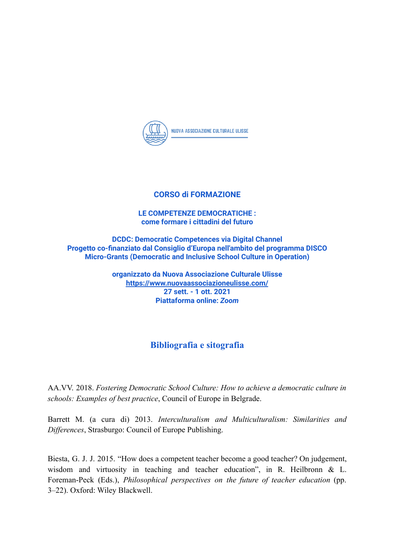

## **CORSO di FORMAZIONE**

## **LE COMPETENZE DEMOCRATICHE : come formare i cittadini del futuro**

**DCDC: Democratic Competences via Digital Channel Progetto co-finanziato dal Consiglio d'Europa nell'ambito del programma DISCO Micro-Grants (Democratic and Inclusive School Culture in Operation)**

> **organizzato da Nuova Associazione Culturale Ulisse <https://www.nuovaassociazioneulisse.com/> 27 sett. - 1 ott. 2021 Piattaforma online:** *Zoom*

## **Bibliografia e sitografia**

AA.VV. 2018. *Fostering Democratic School Culture: How to achieve a democratic culture in schools: Examples of best practice*, Council of Europe in Belgrade.

Barrett M. (a cura di) 2013. *Interculturalism and Multiculturalism: Similarities and Differences*, Strasburgo: Council of Europe Publishing.

Biesta, G. J. J. 2015. "How does a competent teacher become a good teacher? On judgement, wisdom and virtuosity in teaching and teacher education", in R. Heilbronn & L. Foreman-Peck (Eds.), *Philosophical perspectives on the future of teacher education* (pp. 3–22). Oxford: Wiley Blackwell.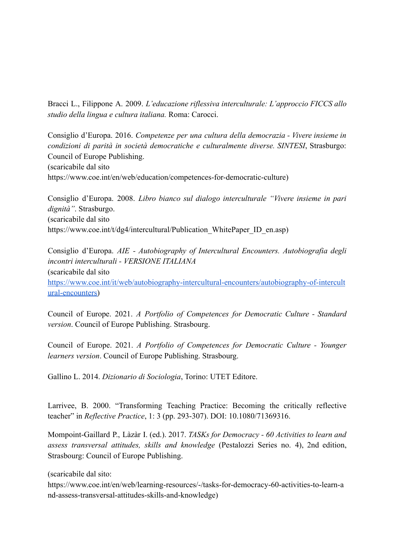Bracci L., Filippone A. 2009. *L'educazione riflessiva interculturale: L'approccio FICCS allo studio della lingua e cultura italiana.* Roma: Carocci.

Consiglio d'Europa. 2016. *Competenze per una cultura della democrazia - Vivere insieme in condizioni di parità in società democratiche e culturalmente diverse. SINTESI*, Strasburgo: Council of Europe Publishing. (scaricabile dal sito https://www.coe.int/en/web/education/competences-for-democratic-culture)

Consiglio d'Europa. 2008. *Libro bianco sul dialogo interculturale "Vivere insieme in pari dignità"*. Strasburgo. (scaricabile dal sito https://www.coe.int/t/dg4/intercultural/Publication\_WhitePaper\_ID\_en.asp)

Consiglio d'Europa. *AIE - Autobiography of Intercultural Encounters. Autobiografia degli incontri interculturali - VERSIONE ITALIANA* (scaricabile dal sito [https://www.coe.int/it/web/autobiography-intercultural-encounters/autobiography-of-intercult](https://www.coe.int/it/web/autobiography-intercultural-encounters/autobiography-of-intercultural-encounters) [ural-encounters\)](https://www.coe.int/it/web/autobiography-intercultural-encounters/autobiography-of-intercultural-encounters)

Council of Europe. 2021. *A Portfolio of Competences for Democratic Culture - Standard version*. Council of Europe Publishing. Strasbourg.

Council of Europe. 2021. *A Portfolio of Competences for Democratic Culture - Younger learners version*. Council of Europe Publishing. Strasbourg.

Gallino L. 2014. *Dizionario di Sociologia*, Torino: UTET Editore.

Larrivee, B. 2000. "Transforming Teaching Practice: Becoming the critically reflective teacher" in *Reflective Practice*, 1: 3 (pp. 293-307). DOI: 10.1080/71369316.

Mompoint-Gaillard P., Làzàr I. (ed.). 2017. *TASKs for Democracy - 60 Activities to learn and assess transversal attitudes, skills and knowledge* (Pestalozzi Series no. 4), 2nd edition, Strasbourg: Council of Europe Publishing.

(scaricabile dal sito:

https://www.coe.int/en/web/learning-resources/-/tasks-for-democracy-60-activities-to-learn-a nd-assess-transversal-attitudes-skills-and-knowledge)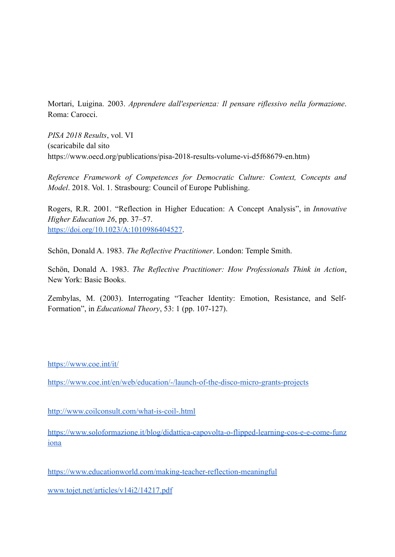Mortari, Luigina. 2003. *Apprendere dall'esperienza: Il pensare riflessivo nella formazione*. Roma: Carocci.

*PISA 2018 Results*, vol. VI (scaricabile dal sito https://www.oecd.org/publications/pisa-2018-results-volume-vi-d5f68679-en.htm)

*Reference Framework of Competences for Democratic Culture: Context, Concepts and Model*. 2018. Vol. 1. Strasbourg: Council of Europe Publishing.

Rogers, R.R. 2001. "Reflection in Higher Education: A Concept Analysis", in *Innovative Higher Education 26*, pp. 37–57. <https://doi.org/10.1023/A:1010986404527>.

Schön, Donald A. 1983. *The Reflective Practitioner*. London: Temple Smith.

Schön, Donald A. 1983. *The Reflective Practitioner: How Professionals Think in Action*, New York: Basic Books.

Zembylas, M. (2003). Interrogating "Teacher Identity: Emotion, Resistance, and Self-Formation", in *Educational Theory*, 53: 1 (pp. 107-127).

<https://www.coe.int/it/>

<https://www.coe.int/en/web/education/-/launch-of-the-disco-micro-grants-projects>

<http://www.coilconsult.com/what-is-coil-.html>

[https://www.soloformazione.it/blog/didattica-capovolta-o-flipped-learning-cos-e-e-come-funz](https://www.soloformazione.it/blog/didattica-capovolta-o-flipped-learning-cos-e-e-come-funziona) [iona](https://www.soloformazione.it/blog/didattica-capovolta-o-flipped-learning-cos-e-e-come-funziona)

<https://www.educationworld.com/making-teacher-reflection-meaningful>

[www.tojet.net/articles/v14i2/14217.pdf](http://www.tojet.net/articles/v14i2/14217.pdf)